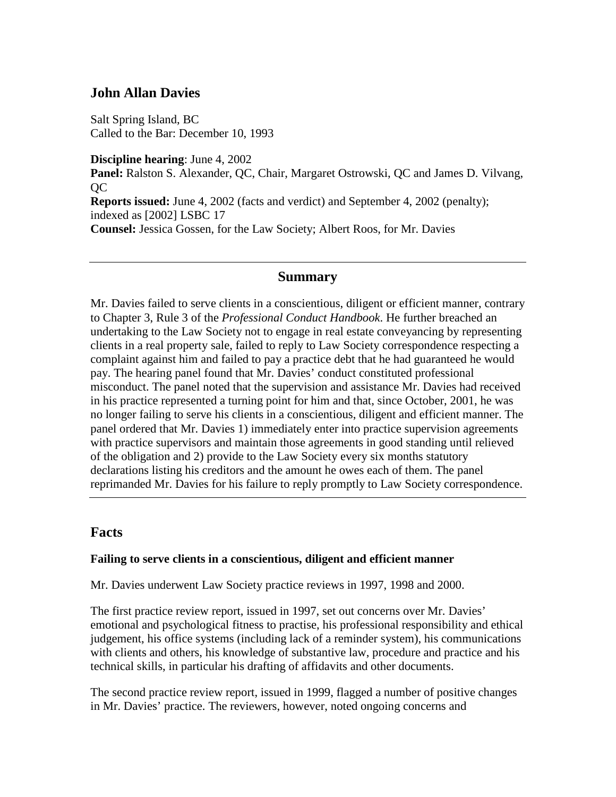## **John Allan Davies**

Salt Spring Island, BC Called to the Bar: December 10, 1993

**Discipline hearing**: June 4, 2002 **Panel:** Ralston S. Alexander, QC, Chair, Margaret Ostrowski, QC and James D. Vilvang, QC **Reports issued:** June 4, 2002 (facts and verdict) and September 4, 2002 (penalty); indexed as [2002] LSBC 17 **Counsel:** Jessica Gossen, for the Law Society; Albert Roos, for Mr. Davies

### **Summary**

Mr. Davies failed to serve clients in a conscientious, diligent or efficient manner, contrary to Chapter 3, Rule 3 of the *Professional Conduct Handbook*. He further breached an undertaking to the Law Society not to engage in real estate conveyancing by representing clients in a real property sale, failed to reply to Law Society correspondence respecting a complaint against him and failed to pay a practice debt that he had guaranteed he would pay. The hearing panel found that Mr. Davies' conduct constituted professional misconduct. The panel noted that the supervision and assistance Mr. Davies had received in his practice represented a turning point for him and that, since October, 2001, he was no longer failing to serve his clients in a conscientious, diligent and efficient manner. The panel ordered that Mr. Davies 1) immediately enter into practice supervision agreements with practice supervisors and maintain those agreements in good standing until relieved of the obligation and 2) provide to the Law Society every six months statutory declarations listing his creditors and the amount he owes each of them. The panel reprimanded Mr. Davies for his failure to reply promptly to Law Society correspondence.

## **Facts**

### **Failing to serve clients in a conscientious, diligent and efficient manner**

Mr. Davies underwent Law Society practice reviews in 1997, 1998 and 2000.

The first practice review report, issued in 1997, set out concerns over Mr. Davies' emotional and psychological fitness to practise, his professional responsibility and ethical judgement, his office systems (including lack of a reminder system), his communications with clients and others, his knowledge of substantive law, procedure and practice and his technical skills, in particular his drafting of affidavits and other documents.

The second practice review report, issued in 1999, flagged a number of positive changes in Mr. Davies' practice. The reviewers, however, noted ongoing concerns and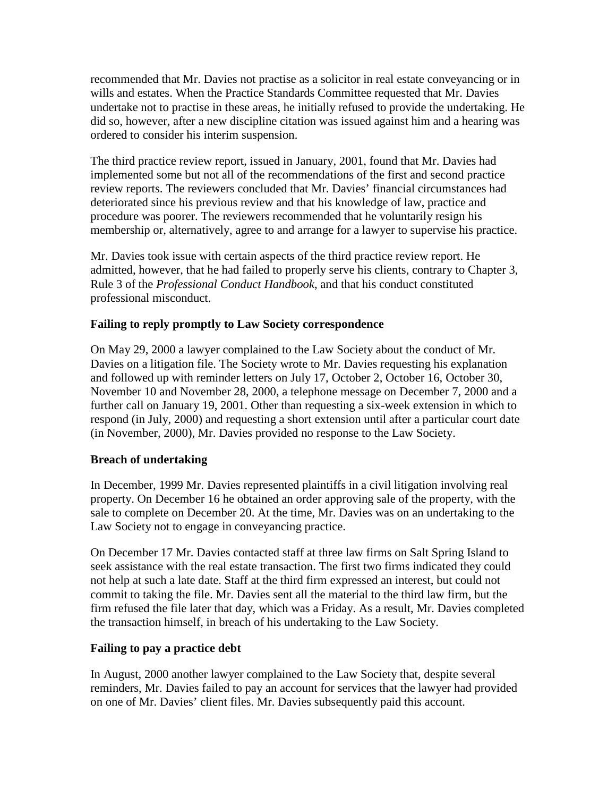recommended that Mr. Davies not practise as a solicitor in real estate conveyancing or in wills and estates. When the Practice Standards Committee requested that Mr. Davies undertake not to practise in these areas, he initially refused to provide the undertaking. He did so, however, after a new discipline citation was issued against him and a hearing was ordered to consider his interim suspension.

The third practice review report, issued in January, 2001, found that Mr. Davies had implemented some but not all of the recommendations of the first and second practice review reports. The reviewers concluded that Mr. Davies' financial circumstances had deteriorated since his previous review and that his knowledge of law, practice and procedure was poorer. The reviewers recommended that he voluntarily resign his membership or, alternatively, agree to and arrange for a lawyer to supervise his practice.

Mr. Davies took issue with certain aspects of the third practice review report. He admitted, however, that he had failed to properly serve his clients, contrary to Chapter 3, Rule 3 of the *Professional Conduct Handbook*, and that his conduct constituted professional misconduct.

## **Failing to reply promptly to Law Society correspondence**

On May 29, 2000 a lawyer complained to the Law Society about the conduct of Mr. Davies on a litigation file. The Society wrote to Mr. Davies requesting his explanation and followed up with reminder letters on July 17, October 2, October 16, October 30, November 10 and November 28, 2000, a telephone message on December 7, 2000 and a further call on January 19, 2001. Other than requesting a six-week extension in which to respond (in July, 2000) and requesting a short extension until after a particular court date (in November, 2000), Mr. Davies provided no response to the Law Society.

### **Breach of undertaking**

In December, 1999 Mr. Davies represented plaintiffs in a civil litigation involving real property. On December 16 he obtained an order approving sale of the property, with the sale to complete on December 20. At the time, Mr. Davies was on an undertaking to the Law Society not to engage in conveyancing practice.

On December 17 Mr. Davies contacted staff at three law firms on Salt Spring Island to seek assistance with the real estate transaction. The first two firms indicated they could not help at such a late date. Staff at the third firm expressed an interest, but could not commit to taking the file. Mr. Davies sent all the material to the third law firm, but the firm refused the file later that day, which was a Friday. As a result, Mr. Davies completed the transaction himself, in breach of his undertaking to the Law Society.

### **Failing to pay a practice debt**

In August, 2000 another lawyer complained to the Law Society that, despite several reminders, Mr. Davies failed to pay an account for services that the lawyer had provided on one of Mr. Davies' client files. Mr. Davies subsequently paid this account.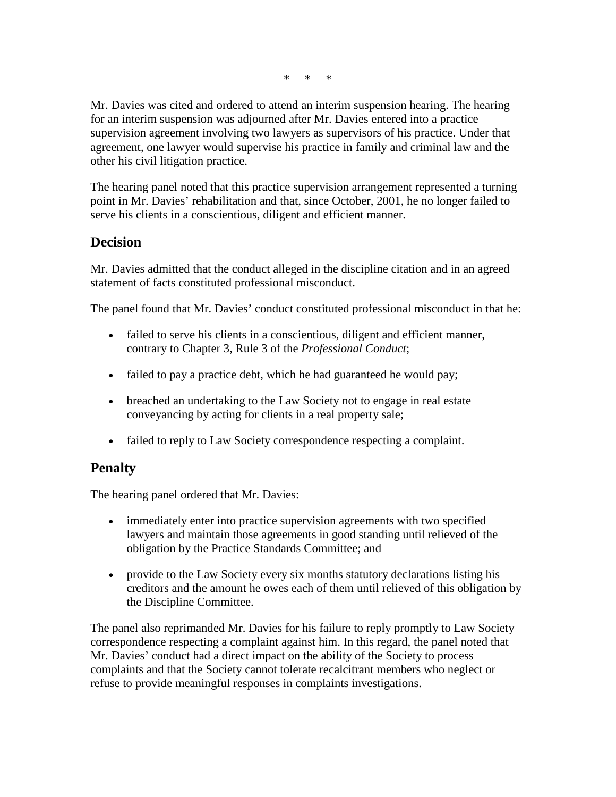\* \* \*

Mr. Davies was cited and ordered to attend an interim suspension hearing. The hearing for an interim suspension was adjourned after Mr. Davies entered into a practice supervision agreement involving two lawyers as supervisors of his practice. Under that agreement, one lawyer would supervise his practice in family and criminal law and the other his civil litigation practice.

The hearing panel noted that this practice supervision arrangement represented a turning point in Mr. Davies' rehabilitation and that, since October, 2001, he no longer failed to serve his clients in a conscientious, diligent and efficient manner.

## **Decision**

Mr. Davies admitted that the conduct alleged in the discipline citation and in an agreed statement of facts constituted professional misconduct.

The panel found that Mr. Davies' conduct constituted professional misconduct in that he:

- failed to serve his clients in a conscientious, diligent and efficient manner, contrary to Chapter 3, Rule 3 of the *Professional Conduct*;
- failed to pay a practice debt, which he had guaranteed he would pay;
- breached an undertaking to the Law Society not to engage in real estate conveyancing by acting for clients in a real property sale;
- failed to reply to Law Society correspondence respecting a complaint.

# **Penalty**

The hearing panel ordered that Mr. Davies:

- immediately enter into practice supervision agreements with two specified lawyers and maintain those agreements in good standing until relieved of the obligation by the Practice Standards Committee; and
- provide to the Law Society every six months statutory declarations listing his creditors and the amount he owes each of them until relieved of this obligation by the Discipline Committee.

The panel also reprimanded Mr. Davies for his failure to reply promptly to Law Society correspondence respecting a complaint against him. In this regard, the panel noted that Mr. Davies' conduct had a direct impact on the ability of the Society to process complaints and that the Society cannot tolerate recalcitrant members who neglect or refuse to provide meaningful responses in complaints investigations.